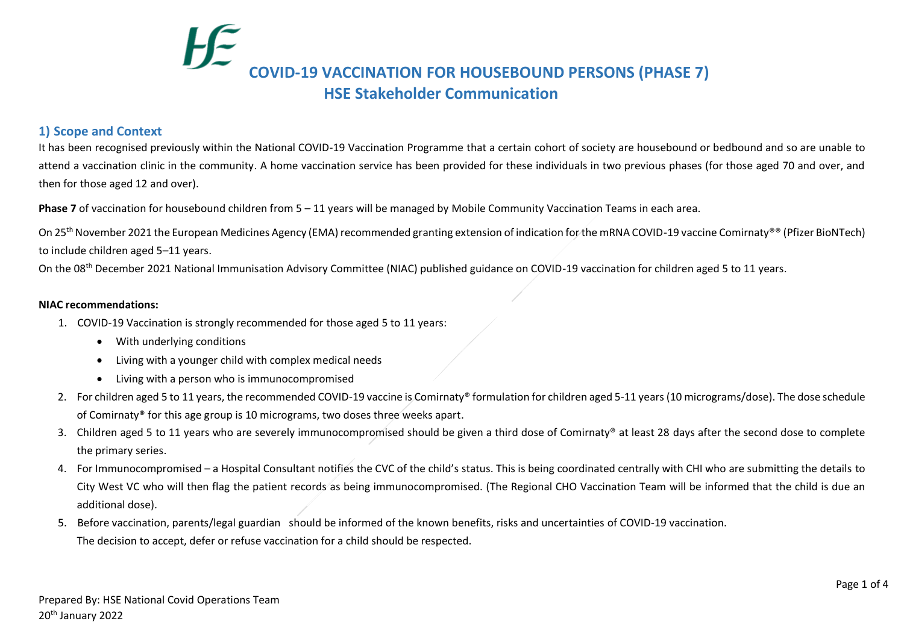# **COVID‐19 VACCINATION FOR HOUSEBOUND PERSONS (PHASE 7) HSE Stakeholder Communication**

# **1) Scope and Context**

It has been recognised previously within the National COVID-19 Vaccination Programme that a certain cohort of society are housebound or bedbound and so are unable to attend a vaccination clinic in the community. A home vaccination service has been provided for these individuals in two previous phases (for those aged 70 and over, and then for those aged 12 and over).

**Phase 7** of vaccination for housebound children from 5 – 11 years will be managed by Mobile Community Vaccination Teams in each area.

On 25<sup>th</sup> November 2021 the European Medicines Agency (EMA) recommended granting extension of indication for the mRNA COVID-19 vaccine Comirnaty®® (Pfizer BioNTech) to include children aged 5–11 years.

On the 08<sup>th</sup> December 2021 National Immunisation Advisory Committee (NIAC) published guidance on COVID-19 vaccination for children aged 5 to 11 years.

#### **NIAC recommendations:**

- 1. COVID-19 Vaccination is strongly recommended for those aged 5 to 11 years:
	- With underlying conditions
	- Living with a younger child with complex medical needs
	- Living with a person who is immunocompromised
- 2. For children aged 5 to 11 years, the recommended COVID-19 vaccine is Comirnaty® formulation for children aged 5-11 years (10 micrograms/dose). The dose schedule of Comirnaty® for this age group is 10 micrograms, two doses three weeks apart.
- 3. Children aged 5 to 11 years who are severely immunocompromised should be given a third dose of Comirnaty® at least 28 days after the second dose to complete the primary series.
- 4. For Immunocompromised a Hospital Consultant notifies the CVC of the child's status. This is being coordinated centrally with CHI who are submitting the details to City West VC who will then flag the patient records as being immunocompromised. (The Regional CHO Vaccination Team will be informed that the child is due an additional dose).
- 5. Before vaccination, parents/legal guardian should be informed of the known benefits, risks and uncertainties of COVID-19 vaccination. The decision to accept, defer or refuse vaccination for a child should be respected.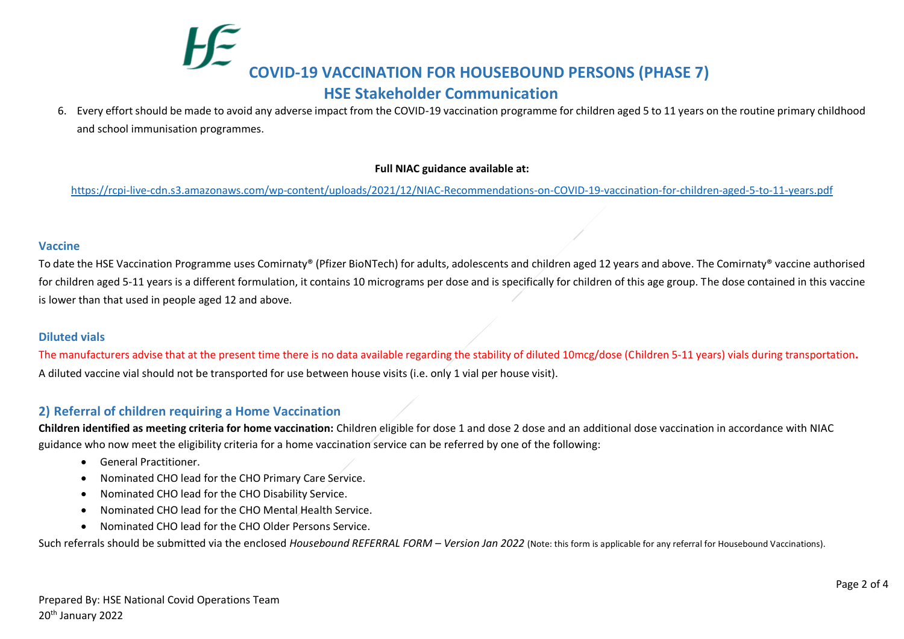# **COVID‐19 VACCINATION FOR HOUSEBOUND PERSONS (PHASE 7) HSE Stakeholder Communication**

6. Every effort should be made to avoid any adverse impact from the COVID-19 vaccination programme for children aged 5 to 11 years on the routine primary childhood and school immunisation programmes.

### **Full NIAC guidance available at:**

<https://rcpi-live-cdn.s3.amazonaws.com/wp-content/uploads/2021/12/NIAC-Recommendations-on-COVID-19-vaccination-for-children-aged-5-to-11-years.pdf>

### **Vaccine**

To date the HSE Vaccination Programme uses Comirnaty® (Pfizer BioNTech) for adults, adolescents and children aged 12 years and above. The Comirnaty® vaccine authorised for children aged 5-11 years is a different formulation, it contains 10 micrograms per dose and is specifically for children of this age group. The dose contained in this vaccine is lower than that used in people aged 12 and above.

## **Diluted vials**

The manufacturers advise that at the present time there is no data available regarding the stability of diluted 10mcg/dose (Children 5-11 years) vials during transportation**.**  A diluted vaccine vial should not be transported for use between house visits (i.e. only 1 vial per house visit).

# **2) Referral of children requiring a Home Vaccination**

**Children identified as meeting criteria for home vaccination:** Children eligible for dose 1 and dose 2 dose and an additional dose vaccination in accordance with NIAC guidance who now meet the eligibility criteria for a home vaccination service can be referred by one of the following:

- General Practitioner.
- Nominated CHO lead for the CHO Primary Care Service.
- Nominated CHO lead for the CHO Disability Service.
- Nominated CHO lead for the CHO Mental Health Service.
- Nominated CHO lead for the CHO Older Persons Service.

Such referrals should be submitted via the enclosed *Housebound REFERRAL FORM – Version Jan 2022* (Note: this form is applicable for any referral for Housebound Vaccinations).